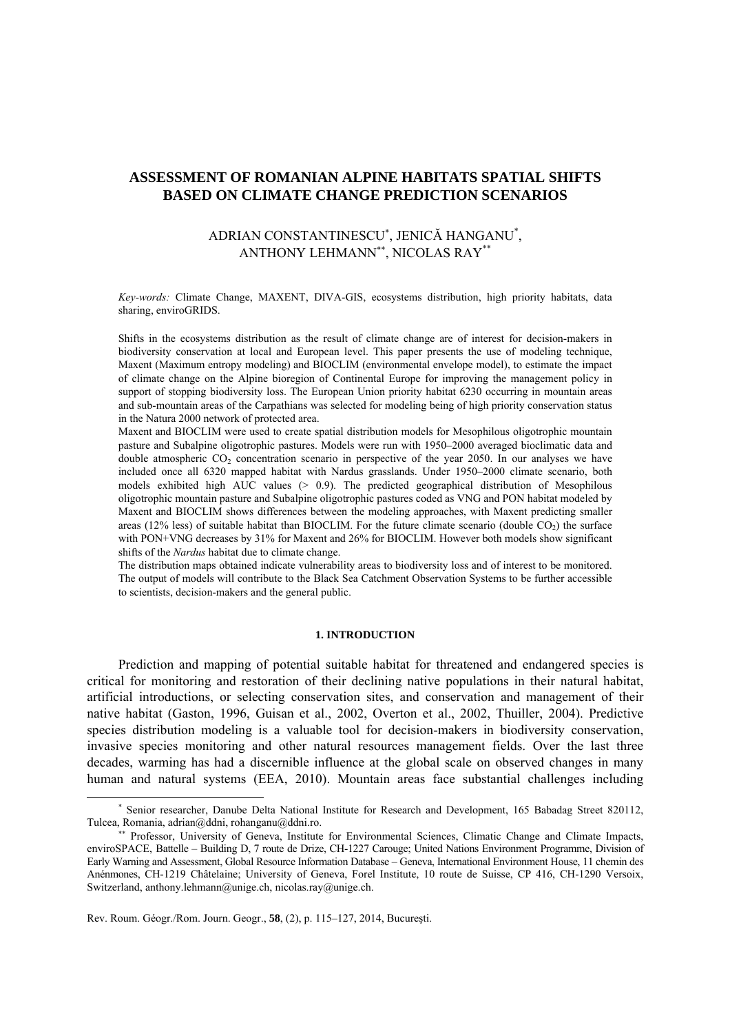# **ASSESSMENT OF ROMANIAN ALPINE HABITATS SPATIAL SHIFTS BASED ON CLIMATE CHANGE PREDICTION SCENARIOS**

# ADRIAN CONSTANTINESCU<sup>∗</sup> , JENICĂ HANGANU\* , ANTHONY LEHMANN∗∗, NICOLAS RAY\*\*

*Key-words:* Climate Change, MAXENT, DIVA-GIS, ecosystems distribution, high priority habitats, data sharing, enviroGRIDS.

Shifts in the ecosystems distribution as the result of climate change are of interest for decision-makers in biodiversity conservation at local and European level. This paper presents the use of modeling technique, Maxent (Maximum entropy modeling) and BIOCLIM (environmental envelope model), to estimate the impact of climate change on the Alpine bioregion of Continental Europe for improving the management policy in support of stopping biodiversity loss. The European Union priority habitat 6230 occurring in mountain areas and sub-mountain areas of the Carpathians was selected for modeling being of high priority conservation status in the Natura 2000 network of protected area.

Maxent and BIOCLIM were used to create spatial distribution models for Mesophilous oligotrophic mountain pasture and Subalpine oligotrophic pastures. Models were run with 1950–2000 averaged bioclimatic data and double atmospheric  $CO<sub>2</sub>$  concentration scenario in perspective of the year 2050. In our analyses we have included once all 6320 mapped habitat with Nardus grasslands. Under 1950–2000 climate scenario, both models exhibited high AUC values (> 0.9). The predicted geographical distribution of Mesophilous oligotrophic mountain pasture and Subalpine oligotrophic pastures coded as VNG and PON habitat modeled by Maxent and BIOCLIM shows differences between the modeling approaches, with Maxent predicting smaller areas (12% less) of suitable habitat than BIOCLIM. For the future climate scenario (double  $CO<sub>2</sub>$ ) the surface with PON+VNG decreases by 31% for Maxent and 26% for BIOCLIM. However both models show significant shifts of the *Nardus* habitat due to climate change.

The distribution maps obtained indicate vulnerability areas to biodiversity loss and of interest to be monitored. The output of models will contribute to the Black Sea Catchment Observation Systems to be further accessible to scientists, decision-makers and the general public.

### **1. INTRODUCTION**

Prediction and mapping of potential suitable habitat for threatened and endangered species is critical for monitoring and restoration of their declining native populations in their natural habitat, artificial introductions, or selecting conservation sites, and conservation and management of their native habitat (Gaston, 1996, Guisan et al., 2002, Overton et al., 2002, Thuiller, 2004). Predictive species distribution modeling is a valuable tool for decision-makers in biodiversity conservation, invasive species monitoring and other natural resources management fields. Over the last three decades, warming has had a discernible influence at the global scale on observed changes in many human and natural systems (EEA, 2010). Mountain areas face substantial challenges including

 $\overline{a}$ 

<sup>∗</sup> Senior researcher, Danube Delta National Institute for Research and Development, 165 Babadag Street 820112, Tulcea, Romania, adrian@ddni, rohanganu@ddni.ro.

<sup>∗∗</sup> Professor, University of Geneva, Institute for Environmental Sciences, Climatic Change and Climate Impacts, enviroSPACE, Battelle – Building D, 7 route de Drize, CH-1227 Carouge; United Nations Environment Programme, Division of Early Warning and Assessment, Global Resource Information Database – Geneva, International Environment House, 11 chemin des Anénmones, CH-1219 Châtelaine; University of Geneva, Forel Institute, 10 route de Suisse, CP 416, CH-1290 Versoix, Switzerland, anthony.lehmann@unige.ch, nicolas.ray@unige.ch.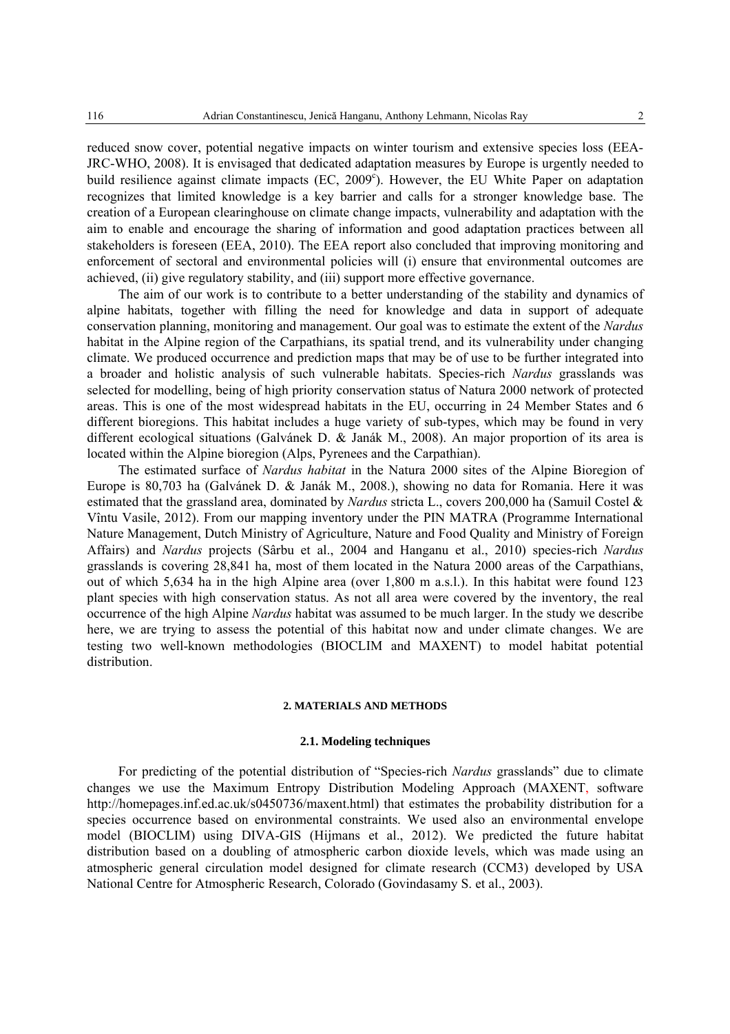reduced snow cover, potential negative impacts on winter tourism and extensive species loss (EEA-JRC-WHO, 2008). It is envisaged that dedicated adaptation measures by Europe is urgently needed to build resilience against climate impacts (EC, 2009<sup>c</sup>). However, the EU White Paper on adaptation recognizes that limited knowledge is a key barrier and calls for a stronger knowledge base. The creation of a European clearinghouse on climate change impacts, vulnerability and adaptation with the aim to enable and encourage the sharing of information and good adaptation practices between all stakeholders is foreseen (EEA, 2010). The EEA report also concluded that improving monitoring and enforcement of sectoral and environmental policies will (i) ensure that environmental outcomes are achieved, (ii) give regulatory stability, and (iii) support more effective governance.

The aim of our work is to contribute to a better understanding of the stability and dynamics of alpine habitats, together with filling the need for knowledge and data in support of adequate conservation planning, monitoring and management. Our goal was to estimate the extent of the *Nardus* habitat in the Alpine region of the Carpathians, its spatial trend, and its vulnerability under changing climate. We produced occurrence and prediction maps that may be of use to be further integrated into a broader and holistic analysis of such vulnerable habitats. Species-rich *Nardus* grasslands was selected for modelling, being of high priority conservation status of Natura 2000 network of protected areas. This is one of the most widespread habitats in the EU, occurring in 24 Member States and 6 different bioregions. This habitat includes a huge variety of sub-types, which may be found in very different ecological situations (Galvánek D. & Janák M., 2008). An major proportion of its area is located within the Alpine bioregion (Alps, Pyrenees and the Carpathian).

The estimated surface of *Nardus habitat* in the Natura 2000 sites of the Alpine Bioregion of Europe is 80,703 ha (Galvánek D. & Janák M., 2008.), showing no data for Romania. Here it was estimated that the grassland area, dominated by *Nardus* stricta L., covers 200,000 ha (Samuil Costel & Vîntu Vasile, 2012). From our mapping inventory under the PIN MATRA (Programme International Nature Management, Dutch Ministry of Agriculture, Nature and Food Quality and Ministry of Foreign Affairs) and *Nardus* projects (Sârbu et al., 2004 and Hanganu et al., 2010) species-rich *Nardus* grasslands is covering 28,841 ha, most of them located in the Natura 2000 areas of the Carpathians, out of which 5,634 ha in the high Alpine area (over 1,800 m a.s.l.). In this habitat were found 123 plant species with high conservation status. As not all area were covered by the inventory, the real occurrence of the high Alpine *Nardus* habitat was assumed to be much larger. In the study we describe here, we are trying to assess the potential of this habitat now and under climate changes. We are testing two well-known methodologies (BIOCLIM and MAXENT) to model habitat potential distribution.

## **2. MATERIALS AND METHODS**

### **2.1. Modeling techniques**

For predicting of the potential distribution of "Species-rich *Nardus* grasslands" due to climate changes we use the Maximum Entropy Distribution Modeling Approach (MAXENT, software http://homepages.inf.ed.ac.uk/s0450736/maxent.html) that estimates the probability distribution for a species occurrence based on environmental constraints. We used also an environmental envelope model (BIOCLIM) using DIVA-GIS (Hijmans et al., 2012). We predicted the future habitat distribution based on a doubling of atmospheric carbon dioxide levels, which was made using an atmospheric general circulation model designed for climate research (CCM3) developed by USA National Centre for Atmospheric Research, Colorado (Govindasamy S. et al., 2003).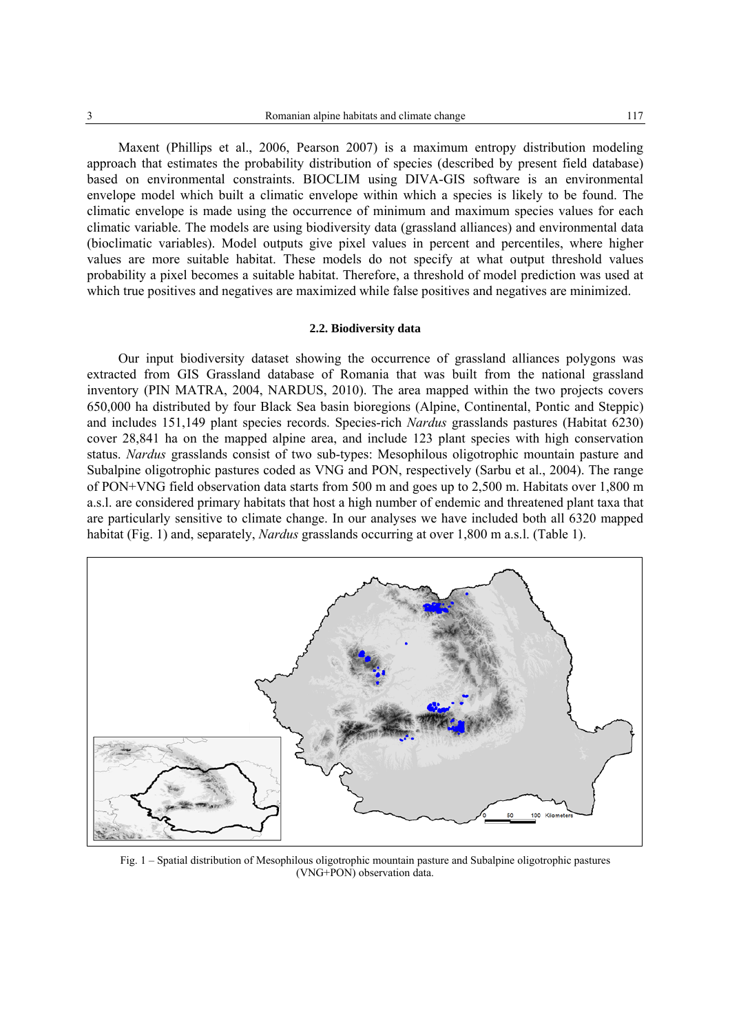Maxent (Phillips et al., 2006, Pearson 2007) is a maximum entropy distribution modeling approach that estimates the probability distribution of species (described by present field database) based on environmental constraints. BIOCLIM using DIVA-GIS software is an environmental envelope model which built a climatic envelope within which a species is likely to be found. The climatic envelope is made using the occurrence of minimum and maximum species values for each climatic variable. The models are using biodiversity data (grassland alliances) and environmental data (bioclimatic variables). Model outputs give pixel values in percent and percentiles, where higher values are more suitable habitat. These models do not specify at what output threshold values probability a pixel becomes a suitable habitat. Therefore, a threshold of model prediction was used at which true positives and negatives are maximized while false positives and negatives are minimized.

### **2.2. Biodiversity data**

Our input biodiversity dataset showing the occurrence of grassland alliances polygons was extracted from GIS Grassland database of Romania that was built from the national grassland inventory (PIN MATRA, 2004, NARDUS, 2010). The area mapped within the two projects covers 650,000 ha distributed by four Black Sea basin bioregions (Alpine, Continental, Pontic and Steppic) and includes 151,149 plant species records. Species-rich *Nardus* grasslands pastures (Habitat 6230) cover 28,841 ha on the mapped alpine area, and include 123 plant species with high conservation status. *Nardus* grasslands consist of two sub-types: Mesophilous oligotrophic mountain pasture and Subalpine oligotrophic pastures coded as VNG and PON, respectively (Sarbu et al., 2004). The range of PON+VNG field observation data starts from 500 m and goes up to 2,500 m. Habitats over 1,800 m a.s.l. are considered primary habitats that host a high number of endemic and threatened plant taxa that are particularly sensitive to climate change. In our analyses we have included both all 6320 mapped habitat (Fig. 1) and, separately, *Nardus* grasslands occurring at over 1,800 m a.s.l. (Table 1).



Fig. 1 – Spatial distribution of Mesophilous oligotrophic mountain pasture and Subalpine oligotrophic pastures (VNG+PON) observation data.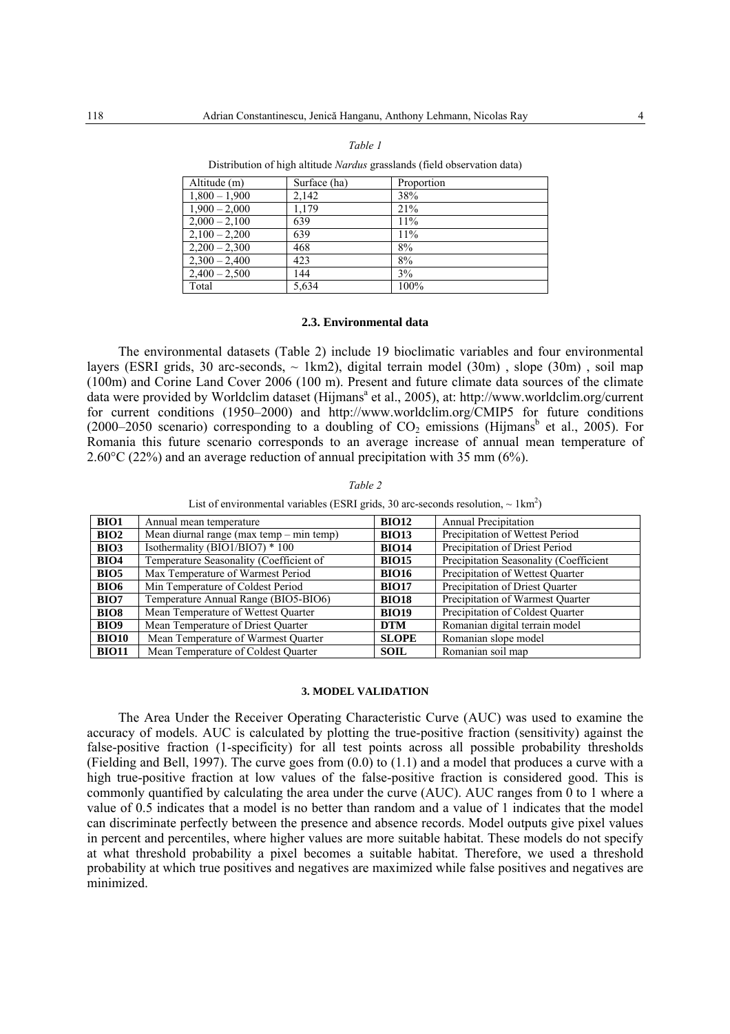Distribution of high altitude *Nardus* grasslands (field observation data)

| Altitude (m)    | Surface (ha) | Proportion |
|-----------------|--------------|------------|
| $1,800 - 1,900$ | 2,142        | 38%        |
| $1,900 - 2,000$ | 1.179        | 21%        |
| $2,000 - 2,100$ | 639          | 11%        |
| $2,100 - 2,200$ | 639          | 11%        |
| $2,200 - 2,300$ | 468          | 8%         |
| $2,300 - 2,400$ | 423          | 8%         |
| $2,400 - 2,500$ | 144          | 3%         |
| Total           | 5,634        | 100%       |

### **2.3. Environmental data**

The environmental datasets (Table 2) include 19 bioclimatic variables and four environmental layers (ESRI grids, 30 arc-seconds,  $\sim 1 \text{km2}$ ), digital terrain model (30m), slope (30m), soil map (100m) and Corine Land Cover 2006 (100 m). Present and future climate data sources of the climate data were provided by Worldclim dataset (Hijmans<sup>a</sup> et al., 2005), at: http://www.worldclim.org/current for current conditions (1950–2000) and http://www.worldclim.org/CMIP5 for future conditions (2000–2050 scenario) corresponding to a doubling of  $CO<sub>2</sub>$  emissions (Hijmans<sup>b</sup> et al., 2005). For Romania this future scenario corresponds to an average increase of annual mean temperature of 2.60°C (22%) and an average reduction of annual precipitation with 35 mm (6%).

*Table 2* 

List of environmental variables (ESRI grids, 30 arc-seconds resolution,  $\sim 1 \text{km}^2$ )

| <b>BIO1</b>      | Annual mean temperature                    | <b>BIO12</b> | <b>Annual Precipitation</b>            |
|------------------|--------------------------------------------|--------------|----------------------------------------|
| BIO <sub>2</sub> | Mean diurnal range (max temp $-$ min temp) | <b>BIO13</b> | Precipitation of Wettest Period        |
| <b>BIO3</b>      | Isothermality (BIO1/BIO7) * 100            | <b>BIO14</b> | Precipitation of Driest Period         |
| <b>BIO4</b>      | Temperature Seasonality (Coefficient of    | <b>BIO15</b> | Precipitation Seasonality (Coefficient |
| <b>BIO5</b>      | Max Temperature of Warmest Period          | <b>BIO16</b> | Precipitation of Wettest Quarter       |
| <b>BIO6</b>      | Min Temperature of Coldest Period          | <b>BIO17</b> | Precipitation of Driest Quarter        |
| <b>BIO7</b>      | Temperature Annual Range (BIO5-BIO6)       | <b>BIO18</b> | Precipitation of Warmest Quarter       |
| <b>BIO8</b>      | Mean Temperature of Wettest Quarter        | <b>BIO19</b> | Precipitation of Coldest Quarter       |
| <b>BIO9</b>      | Mean Temperature of Driest Quarter         | <b>DTM</b>   | Romanian digital terrain model         |
| <b>BIO10</b>     | Mean Temperature of Warmest Quarter        | <b>SLOPE</b> | Romanian slope model                   |
| <b>BIO11</b>     | Mean Temperature of Coldest Ouarter        | <b>SOIL</b>  | Romanian soil map                      |

#### **3. MODEL VALIDATION**

The Area Under the Receiver Operating Characteristic Curve (AUC) was used to examine the accuracy of models. AUC is calculated by plotting the true-positive fraction (sensitivity) against the false-positive fraction (1-specificity) for all test points across all possible probability thresholds (Fielding and Bell, 1997). The curve goes from (0.0) to (1.1) and a model that produces a curve with a high true-positive fraction at low values of the false-positive fraction is considered good. This is commonly quantified by calculating the area under the curve (AUC). AUC ranges from 0 to 1 where a value of 0.5 indicates that a model is no better than random and a value of 1 indicates that the model can discriminate perfectly between the presence and absence records. Model outputs give pixel values in percent and percentiles, where higher values are more suitable habitat. These models do not specify at what threshold probability a pixel becomes a suitable habitat. Therefore, we used a threshold probability at which true positives and negatives are maximized while false positives and negatives are minimized.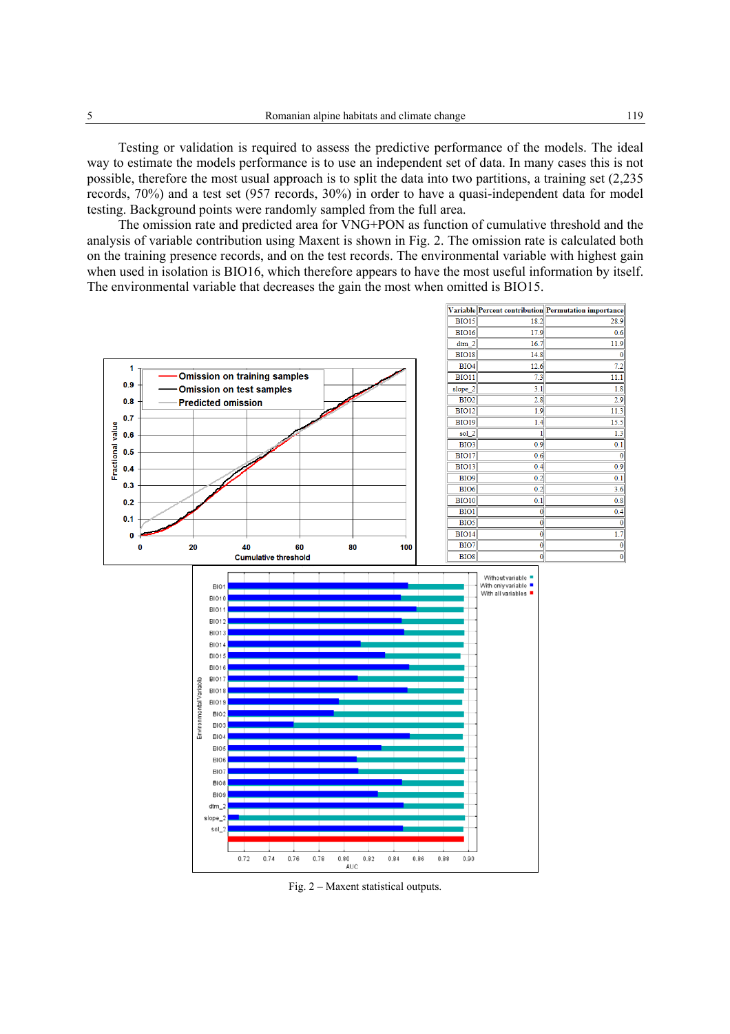Testing or validation is required to assess the predictive performance of the models. The ideal way to estimate the models performance is to use an independent set of data. In many cases this is not possible, therefore the most usual approach is to split the data into two partitions, a training set (2,235 records, 70%) and a test set (957 records, 30%) in order to have a quasi-independent data for model testing. Background points were randomly sampled from the full area.

The omission rate and predicted area for VNG+PON as function of cumulative threshold and the analysis of variable contribution using Maxent is shown in Fig. 2. The omission rate is calculated both on the training presence records, and on the test records. The environmental variable with highest gain when used in isolation is BIO16, which therefore appears to have the most useful information by itself. The environmental variable that decreases the gain the most when omitted is BIO15.



Fig. 2 – Maxent statistical outputs.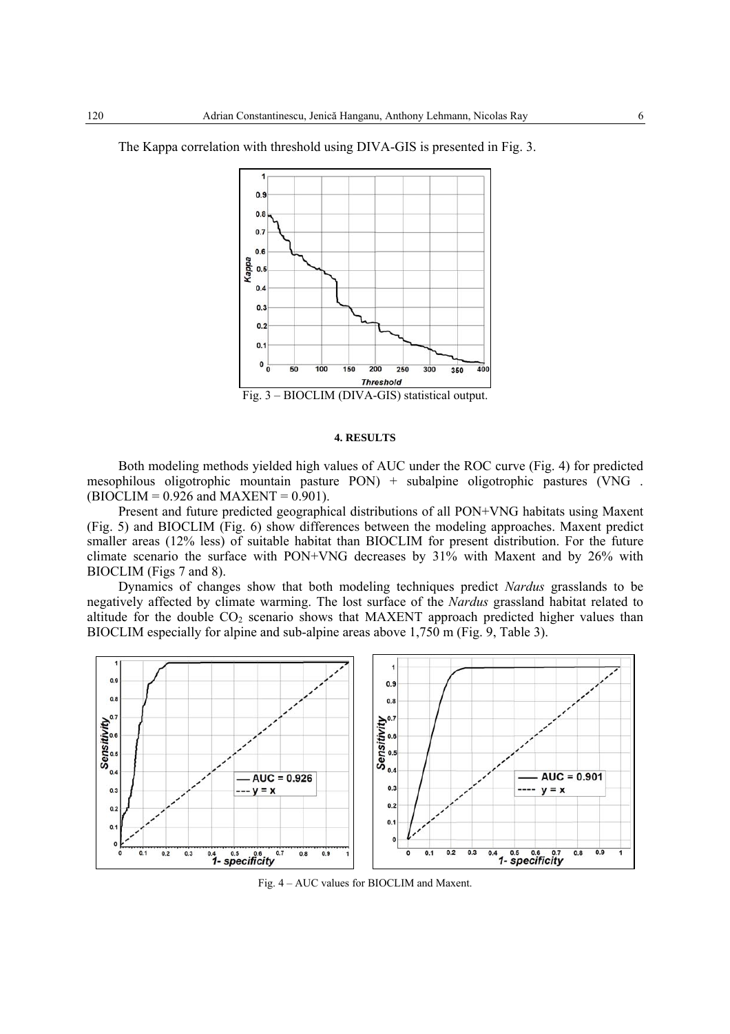

The Kappa correlation with threshold using DIVA-GIS is presented in Fig. 3.

# **4. RESULTS**

Both modeling methods yielded high values of AUC under the ROC curve (Fig. 4) for predicted mesophilous oligotrophic mountain pasture PON) + subalpine oligotrophic pastures (VNG .  $(BIOCLIM = 0.926$  and MAXENT = 0.901).

Present and future predicted geographical distributions of all PON+VNG habitats using Maxent (Fig. 5) and BIOCLIM (Fig. 6) show differences between the modeling approaches. Maxent predict smaller areas (12% less) of suitable habitat than BIOCLIM for present distribution. For the future climate scenario the surface with PON+VNG decreases by 31% with Maxent and by 26% with BIOCLIM (Figs 7 and 8).

Dynamics of changes show that both modeling techniques predict *Nardus* grasslands to be negatively affected by climate warming. The lost surface of the *Nardus* grassland habitat related to altitude for the double  $CO<sub>2</sub>$  scenario shows that MAXENT approach predicted higher values than BIOCLIM especially for alpine and sub-alpine areas above 1,750 m (Fig. 9, Table 3).



Fig. 4 – AUC values for BIOCLIM and Maxent.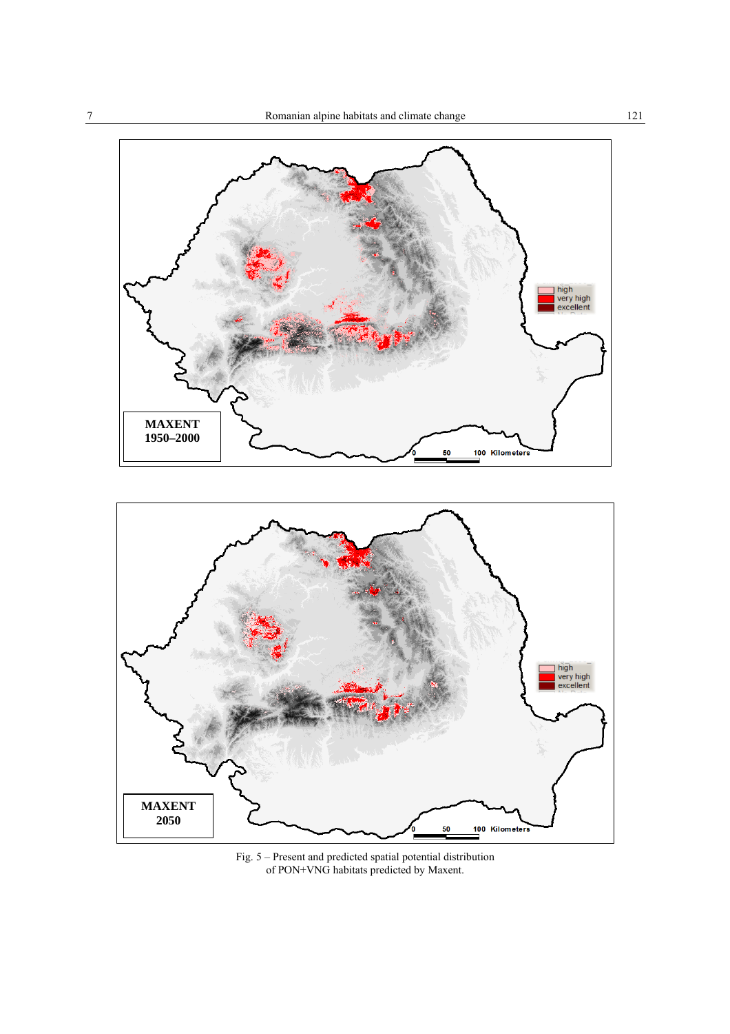

100 Kilometer

50



Fig. 5 – Present and predicted spatial potential distribution of PON+VNG habitats predicted by Maxent.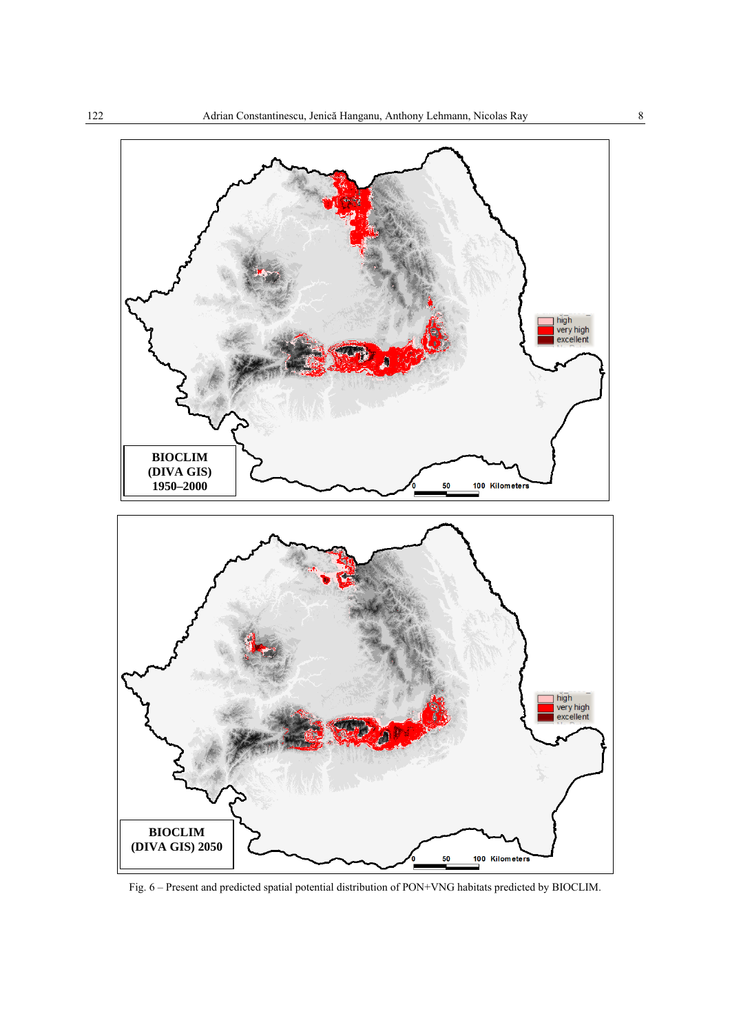

Fig. 6 – Present and predicted spatial potential distribution of PON+VNG habitats predicted by BIOCLIM.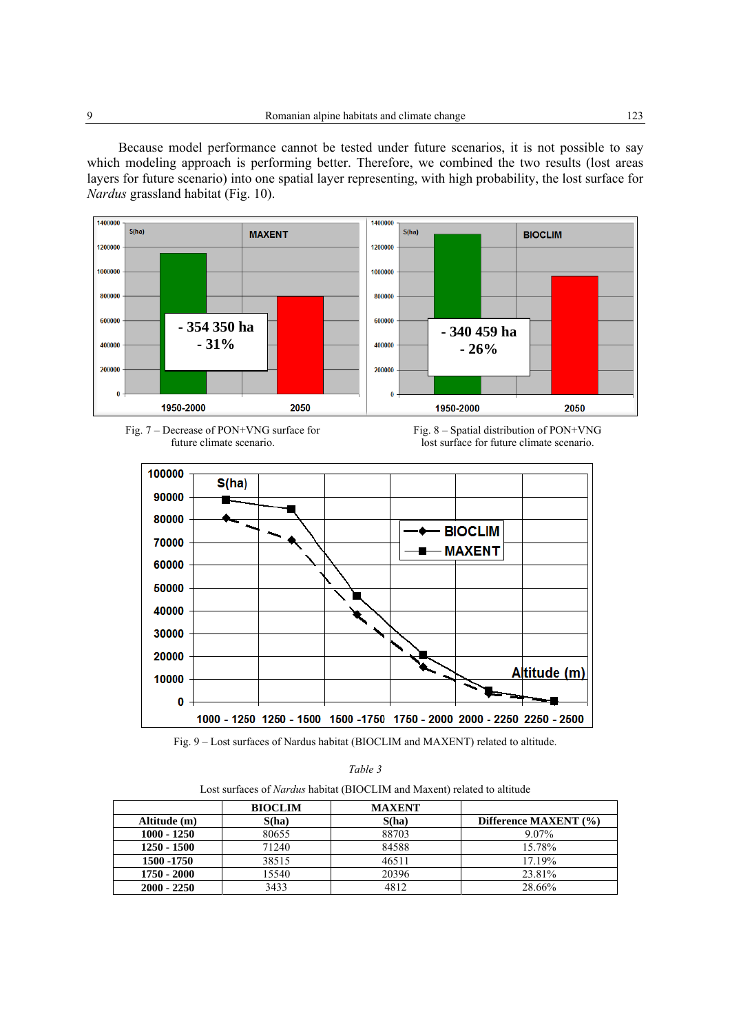Because model performance cannot be tested under future scenarios, it is not possible to say which modeling approach is performing better. Therefore, we combined the two results (lost areas layers for future scenario) into one spatial layer representing, with high probability, the lost surface for *Nardus* grassland habitat (Fig. 10).











*Table 3* 

| Lost surfaces of <i>Nardus</i> habitat (BIOCLIM and Maxent) related to altitude |  |  |
|---------------------------------------------------------------------------------|--|--|
|---------------------------------------------------------------------------------|--|--|

|               | <b>BIOCLIM</b> | <b>MAXENT</b> |                       |
|---------------|----------------|---------------|-----------------------|
| Altitude (m)  | S(ha)          | S(ha)         | Difference MAXENT (%) |
| $1000 - 1250$ | 80655          | 88703         | $9.07\%$              |
| 1250 - 1500   | 71240          | 84588         | 15.78%                |
| 1500 - 1750   | 38515          | 46511         | 17.19%                |
| 1750 - 2000   | 15540          | 20396         | 23.81%                |
| $2000 - 2250$ | 3433           | 4812          | 28.66%                |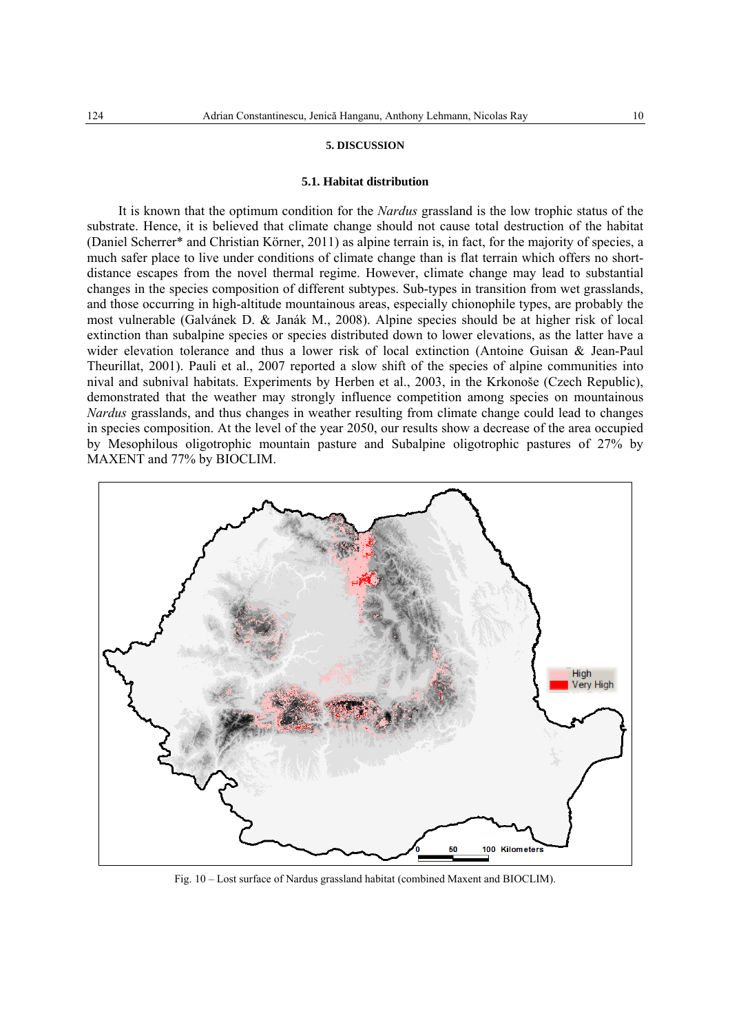#### **5. DISCUSSION**

### **5.1. Habitat distribution**

It is known that the optimum condition for the *Nardus* grassland is the low trophic status of the substrate. Hence, it is believed that climate change should not cause total destruction of the habitat (Daniel Scherrer\* and Christian Körner, 2011) as alpine terrain is, in fact, for the majority of species, a much safer place to live under conditions of climate change than is flat terrain which offers no shortdistance escapes from the novel thermal regime. However, climate change may lead to substantial changes in the species composition of different subtypes. Sub-types in transition from wet grasslands, and those occurring in high-altitude mountainous areas, especially chionophile types, are probably the most vulnerable (Galvánek D. & Janák M., 2008). Alpine species should be at higher risk of local extinction than subalpine species or species distributed down to lower elevations, as the latter have a wider elevation tolerance and thus a lower risk of local extinction (Antoine Guisan & Jean-Paul Theurillat, 2001). Pauli et al., 2007 reported a slow shift of the species of alpine communities into nival and subnival habitats. Experiments by Herben et al., 2003, in the Krkonoše (Czech Republic), demonstrated that the weather may strongly influence competition among species on mountainous *Nardus* grasslands, and thus changes in weather resulting from climate change could lead to changes in species composition. At the level of the year 2050, our results show a decrease of the area occupied by Mesophilous oligotrophic mountain pasture and Subalpine oligotrophic pastures of 27% by MAXENT and 77% by BIOCLIM.



Fig. 10 – Lost surface of Nardus grassland habitat (combined Maxent and BIOCLIM).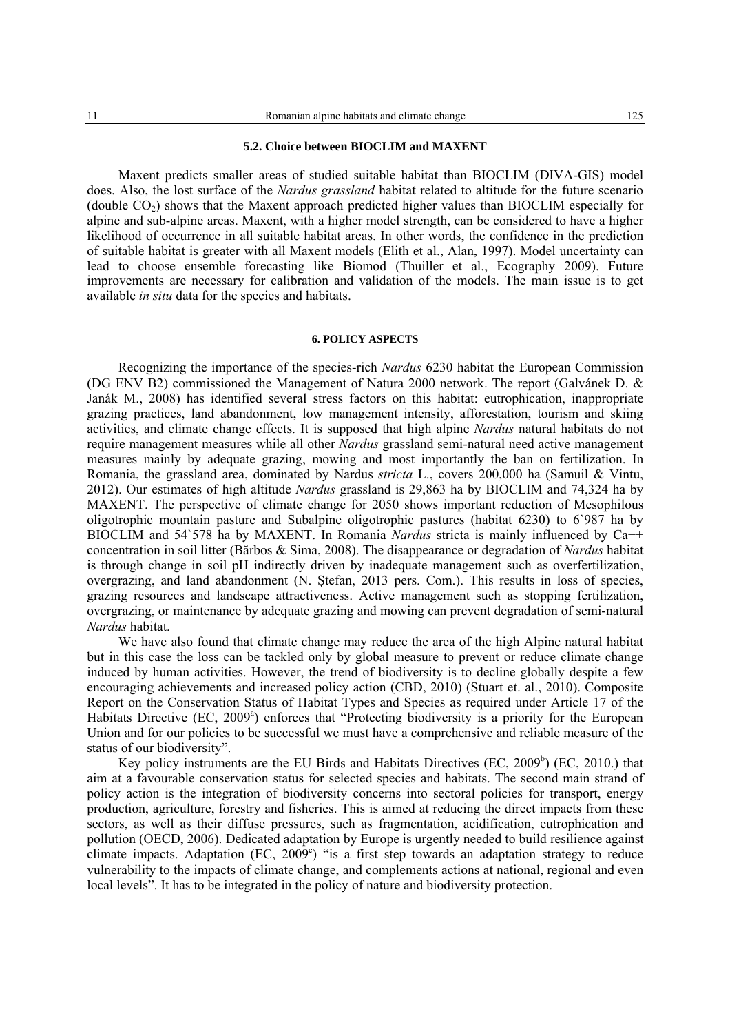### **5.2. Choice between BIOCLIM and MAXENT**

Maxent predicts smaller areas of studied suitable habitat than BIOCLIM (DIVA-GIS) model does. Also, the lost surface of the *Nardus grassland* habitat related to altitude for the future scenario (double  $CO<sub>2</sub>$ ) shows that the Maxent approach predicted higher values than BIOCLIM especially for alpine and sub-alpine areas. Maxent, with a higher model strength, can be considered to have a higher likelihood of occurrence in all suitable habitat areas. In other words, the confidence in the prediction of suitable habitat is greater with all Maxent models (Elith et al., Alan, 1997). Model uncertainty can lead to choose ensemble forecasting like Biomod (Thuiller et al., Ecography 2009). Future improvements are necessary for calibration and validation of the models. The main issue is to get available *in situ* data for the species and habitats.

### **6. POLICY ASPECTS**

Recognizing the importance of the species-rich *Nardus* 6230 habitat the European Commission (DG ENV B2) commissioned the Management of Natura 2000 network. The report (Galvánek D. & Janák M., 2008) has identified several stress factors on this habitat: eutrophication, inappropriate grazing practices, land abandonment, low management intensity, afforestation, tourism and skiing activities, and climate change effects. It is supposed that high alpine *Nardus* natural habitats do not require management measures while all other *Nardus* grassland semi-natural need active management measures mainly by adequate grazing, mowing and most importantly the ban on fertilization. In Romania, the grassland area, dominated by Nardus *stricta* L., covers 200,000 ha (Samuil & Vintu, 2012). Our estimates of high altitude *Nardus* grassland is 29,863 ha by BIOCLIM and 74,324 ha by MAXENT. The perspective of climate change for 2050 shows important reduction of Mesophilous oligotrophic mountain pasture and Subalpine oligotrophic pastures (habitat 6230) to 6`987 ha by BIOCLIM and 54`578 ha by MAXENT. In Romania *Nardus* stricta is mainly influenced by Ca++ concentration in soil litter (Bărbos & Sima, 2008). The disappearance or degradation of *Nardus* habitat is through change in soil pH indirectly driven by inadequate management such as overfertilization, overgrazing, and land abandonment (N. Ştefan, 2013 pers. Com.). This results in loss of species, grazing resources and landscape attractiveness. Active management such as stopping fertilization, overgrazing, or maintenance by adequate grazing and mowing can prevent degradation of semi-natural *Nardus* habitat.

We have also found that climate change may reduce the area of the high Alpine natural habitat but in this case the loss can be tackled only by global measure to prevent or reduce climate change induced by human activities. However, the trend of biodiversity is to decline globally despite a few encouraging achievements and increased policy action (CBD, 2010) (Stuart et. al., 2010). Composite Report on the Conservation Status of Habitat Types and Species as required under Article 17 of the Habitats Directive (EC, 2009<sup>a</sup>) enforces that "Protecting biodiversity is a priority for the European Union and for our policies to be successful we must have a comprehensive and reliable measure of the status of our biodiversity".

Key policy instruments are the EU Birds and Habitats Directives  $(EC, 2009<sup>b</sup>)$   $(EC, 2010.)$  that aim at a favourable conservation status for selected species and habitats. The second main strand of policy action is the integration of biodiversity concerns into sectoral policies for transport, energy production, agriculture, forestry and fisheries. This is aimed at reducing the direct impacts from these sectors, as well as their diffuse pressures, such as fragmentation, acidification, eutrophication and pollution (OECD, 2006). Dedicated adaptation by Europe is urgently needed to build resilience against climate impacts. Adaptation (EC,  $2009^{\circ}$ ) "is a first step towards an adaptation strategy to reduce vulnerability to the impacts of climate change, and complements actions at national, regional and even local levels". It has to be integrated in the policy of nature and biodiversity protection.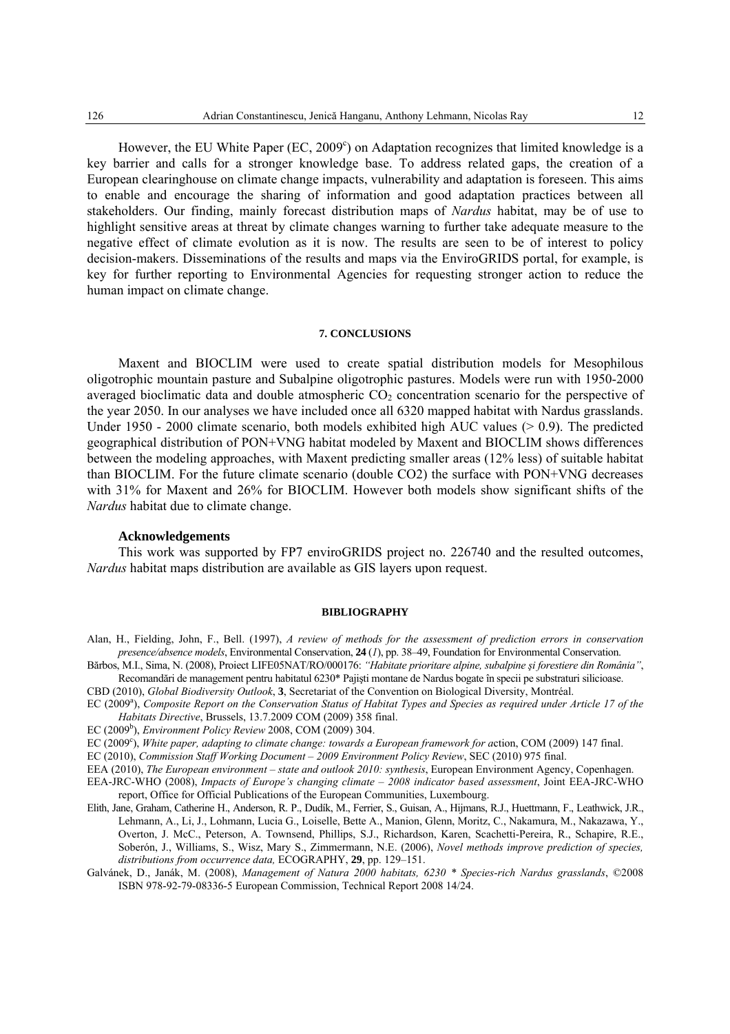However, the EU White Paper (EC, 2009<sup>c</sup>) on Adaptation recognizes that limited knowledge is a key barrier and calls for a stronger knowledge base. To address related gaps, the creation of a European clearinghouse on climate change impacts, vulnerability and adaptation is foreseen. This aims to enable and encourage the sharing of information and good adaptation practices between all stakeholders. Our finding, mainly forecast distribution maps of *Nardus* habitat, may be of use to highlight sensitive areas at threat by climate changes warning to further take adequate measure to the negative effect of climate evolution as it is now. The results are seen to be of interest to policy decision-makers. Disseminations of the results and maps via the EnviroGRIDS portal, for example, is key for further reporting to Environmental Agencies for requesting stronger action to reduce the human impact on climate change.

### **7. CONCLUSIONS**

Maxent and BIOCLIM were used to create spatial distribution models for Mesophilous oligotrophic mountain pasture and Subalpine oligotrophic pastures. Models were run with 1950-2000 averaged bioclimatic data and double atmospheric  $CO<sub>2</sub>$  concentration scenario for the perspective of the year 2050. In our analyses we have included once all 6320 mapped habitat with Nardus grasslands. Under 1950 - 2000 climate scenario, both models exhibited high AUC values  $(> 0.9)$ . The predicted geographical distribution of PON+VNG habitat modeled by Maxent and BIOCLIM shows differences between the modeling approaches, with Maxent predicting smaller areas (12% less) of suitable habitat than BIOCLIM. For the future climate scenario (double CO2) the surface with PON+VNG decreases with 31% for Maxent and 26% for BIOCLIM. However both models show significant shifts of the *Nardus* habitat due to climate change.

# **Acknowledgements**

This work was supported by FP7 enviroGRIDS project no. 226740 and the resulted outcomes, *Nardus* habitat maps distribution are available as GIS layers upon request.

### **BIBLIOGRAPHY**

Alan, H., Fielding, John, F., Bell. (1997), *A review of methods for the assessment of prediction errors in conservation presence/absence models*, Environmental Conservation, **24** (*1*), pp. 38–49, Foundation for Environmental Conservation.

Bărbos, M.I., Sima, N. (2008), Proiect LIFE05NAT/RO/000176: *"Habitate prioritare alpine, subalpine şi forestiere din România"*, Recomandări de management pentru habitatul 6230\* Pajişti montane de Nardus bogate în specii pe substraturi silicioase.

- CBD (2010), *Global Biodiversity Outlook*, **3**, Secretariat of the Convention on Biological Diversity, Montréal.
- EC (2009<sup>a</sup>), *Composite Report on the Conservation Status of Habitat Types and Species as required under Article 17 of the Habitats Directive*, Brussels, 13.7.2009 COM (2009) 358 final.
- EC (2009<sup>b</sup>), *Environment Policy Review* 2008, COM (2009) 304.
- EC (2009<sup>c</sup>), *White paper, adapting to climate change: towards a European framework for action, COM (2009) 147 final.*

EC (2010), *Commission Staff Working Document – 2009 Environment Policy Review*, SEC (2010) 975 final.

EEA (2010), *The European environment – state and outlook 2010: synthesis*, European Environment Agency, Copenhagen.

EEA-JRC-WHO (2008), *Impacts of Europe's changing climate – 2008 indicator based assessment*, Joint EEA-JRC-WHO report, Office for Official Publications of the European Communities, Luxembourg.

- Elith, Jane, Graham, Catherine H., Anderson, R. P., Dudík, M., Ferrier, S., Guisan, A., Hijmans, R.J., Huettmann, F., Leathwick, J.R., Lehmann, A., Li, J., Lohmann, Lucia G., Loiselle, Bette A., Manion, Glenn, Moritz, C., Nakamura, M., Nakazawa, Y., Overton, J. McC., Peterson, A. Townsend, Phillips, S.J., Richardson, Karen, Scachetti-Pereira, R., Schapire, R.E., Soberón, J., Williams, S., Wisz, Mary S., Zimmermann, N.E. (2006), *Novel methods improve prediction of species, distributions from occurrence data,* ECOGRAPHY, **29**, pp. 129–151.
- Galvánek, D., Janák, M. (2008), *Management of Natura 2000 habitats, 6230 \* Species-rich Nardus grasslands*, ©2008 ISBN 978-92-79-08336-5 European Commission, Technical Report 2008 14/24.